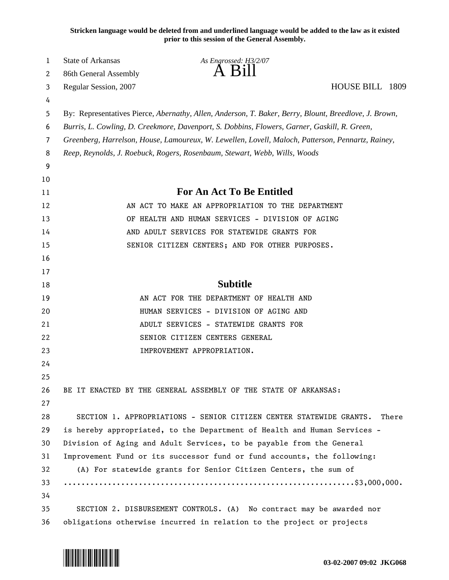**Stricken language would be deleted from and underlined language would be added to the law as it existed prior to this session of the General Assembly.**

| 1      | <b>State of Arkansas</b> | As Engrossed: H3/2/07                                                                                 |                 |  |
|--------|--------------------------|-------------------------------------------------------------------------------------------------------|-----------------|--|
| 2      | 86th General Assembly    |                                                                                                       |                 |  |
| 3      | Regular Session, 2007    |                                                                                                       | HOUSE BILL 1809 |  |
| 4<br>5 |                          | By: Representatives Pierce, Abernathy, Allen, Anderson, T. Baker, Berry, Blount, Breedlove, J. Brown, |                 |  |
| 6      |                          | Burris, L. Cowling, D. Creekmore, Davenport, S. Dobbins, Flowers, Garner, Gaskill, R. Green,          |                 |  |
| 7      |                          | Greenberg, Harrelson, House, Lamoureux, W. Lewellen, Lovell, Maloch, Patterson, Pennartz, Rainey,     |                 |  |
| 8      |                          | Reep, Reynolds, J. Roebuck, Rogers, Rosenbaum, Stewart, Webb, Wills, Woods                            |                 |  |
| 9      |                          |                                                                                                       |                 |  |
| 10     |                          |                                                                                                       |                 |  |
| 11     |                          | <b>For An Act To Be Entitled</b>                                                                      |                 |  |
| 12     |                          | AN ACT TO MAKE AN APPROPRIATION TO THE DEPARTMENT                                                     |                 |  |
| 13     |                          | OF HEALTH AND HUMAN SERVICES - DIVISION OF AGING                                                      |                 |  |
| 14     |                          | AND ADULT SERVICES FOR STATEWIDE GRANTS FOR                                                           |                 |  |
| 15     |                          | SENIOR CITIZEN CENTERS; AND FOR OTHER PURPOSES.                                                       |                 |  |
| 16     |                          |                                                                                                       |                 |  |
| 17     |                          |                                                                                                       |                 |  |
| 18     |                          | <b>Subtitle</b>                                                                                       |                 |  |
| 19     |                          | AN ACT FOR THE DEPARTMENT OF HEALTH AND                                                               |                 |  |
| 20     |                          | HUMAN SERVICES - DIVISION OF AGING AND                                                                |                 |  |
| 21     |                          | ADULT SERVICES - STATEWIDE GRANTS FOR                                                                 |                 |  |
| 22     |                          | SENIOR CITIZEN CENTERS GENERAL                                                                        |                 |  |
| 23     |                          | IMPROVEMENT APPROPRIATION.                                                                            |                 |  |
| 24     |                          |                                                                                                       |                 |  |
| 25     |                          |                                                                                                       |                 |  |
| 26     |                          | BE IT ENACTED BY THE GENERAL ASSEMBLY OF THE STATE OF ARKANSAS:                                       |                 |  |
| 27     |                          |                                                                                                       |                 |  |
| 28     |                          | SECTION 1. APPROPRIATIONS - SENIOR CITIZEN CENTER STATEWIDE GRANTS.                                   | There           |  |
| 29     |                          | is hereby appropriated, to the Department of Health and Human Services -                              |                 |  |
| 30     |                          | Division of Aging and Adult Services, to be payable from the General                                  |                 |  |
| 31     |                          | Improvement Fund or its successor fund or fund accounts, the following:                               |                 |  |
| 32     |                          | (A) For statewide grants for Senior Citizen Centers, the sum of                                       |                 |  |
| 33     |                          |                                                                                                       |                 |  |
| 34     |                          |                                                                                                       |                 |  |
| 35     |                          | SECTION 2. DISBURSEMENT CONTROLS. (A) No contract may be awarded nor                                  |                 |  |
| 36     |                          | obligations otherwise incurred in relation to the project or projects                                 |                 |  |

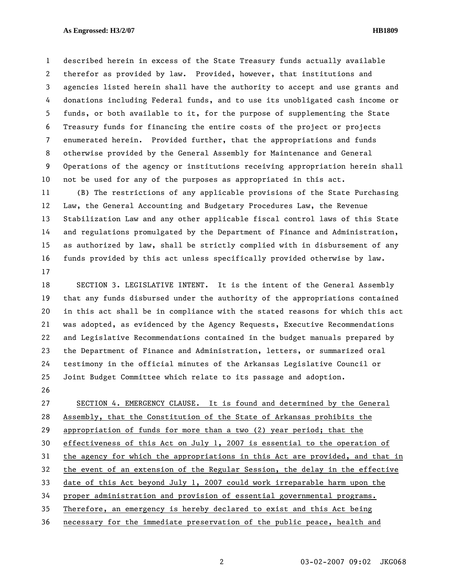## **As Engrossed: H3/2/07 HB1809**

1 described herein in excess of the State Treasury funds actually available 2 therefor as provided by law. Provided, however, that institutions and 3 agencies listed herein shall have the authority to accept and use grants and 4 donations including Federal funds, and to use its unobligated cash income or 5 funds, or both available to it, for the purpose of supplementing the State 6 Treasury funds for financing the entire costs of the project or projects 7 enumerated herein. Provided further, that the appropriations and funds 8 otherwise provided by the General Assembly for Maintenance and General 9 Operations of the agency or institutions receiving appropriation herein shall 10 not be used for any of the purposes as appropriated in this act.

11 (B) The restrictions of any applicable provisions of the State Purchasing 12 Law, the General Accounting and Budgetary Procedures Law, the Revenue 13 Stabilization Law and any other applicable fiscal control laws of this State 14 and regulations promulgated by the Department of Finance and Administration, 15 as authorized by law, shall be strictly complied with in disbursement of any 16 funds provided by this act unless specifically provided otherwise by law. 17

18 SECTION 3. LEGISLATIVE INTENT. It is the intent of the General Assembly 19 that any funds disbursed under the authority of the appropriations contained 20 in this act shall be in compliance with the stated reasons for which this act 21 was adopted, as evidenced by the Agency Requests, Executive Recommendations 22 and Legislative Recommendations contained in the budget manuals prepared by 23 the Department of Finance and Administration, letters, or summarized oral 24 testimony in the official minutes of the Arkansas Legislative Council or 25 Joint Budget Committee which relate to its passage and adoption.

26

27 SECTION 4. EMERGENCY CLAUSE. It is found and determined by the General 28 Assembly, that the Constitution of the State of Arkansas prohibits the 29 appropriation of funds for more than a two (2) year period; that the 30 effectiveness of this Act on July 1, 2007 is essential to the operation of 31 the agency for which the appropriations in this Act are provided, and that in 32 the event of an extension of the Regular Session, the delay in the effective 33 date of this Act beyond July 1, 2007 could work irreparable harm upon the 34 proper administration and provision of essential governmental programs. 35 Therefore, an emergency is hereby declared to exist and this Act being 36 necessary for the immediate preservation of the public peace, health and